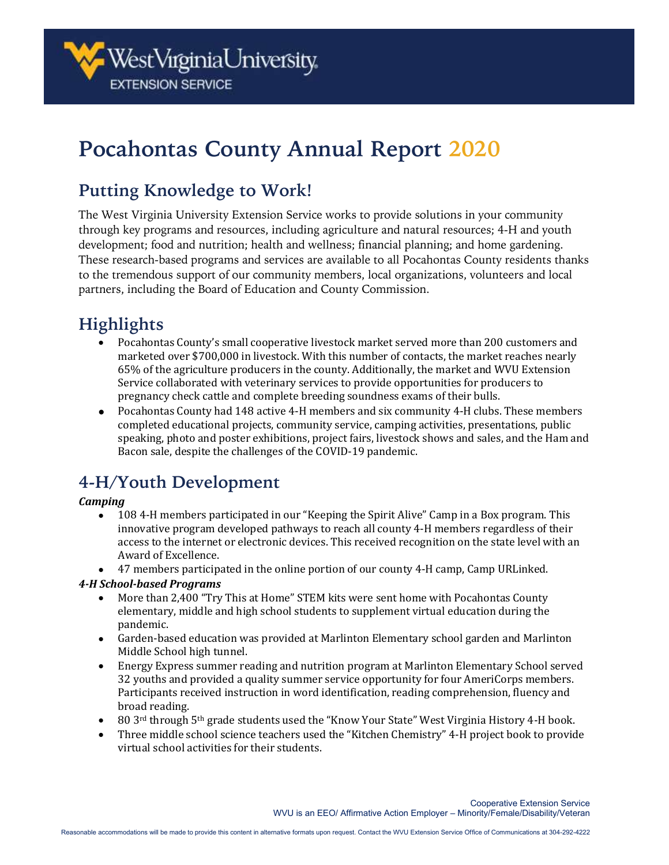

# **Pocahontas County Annual Report 2020**

# **Putting Knowledge to Work!**

The West Virginia University Extension Service works to provide solutions in your community through key programs and resources, including agriculture and natural resources; 4-H and youth development; food and nutrition; health and wellness; financial planning; and home gardening. These research-based programs and services are available to all Pocahontas County residents thanks to the tremendous support of our community members, local organizations, volunteers and local partners, including the Board of Education and County Commission.

# **Highlights**

- Pocahontas County's small cooperative livestock market served more than 200 customers and marketed over \$700,000 in livestock. With this number of contacts, the market reaches nearly 65% of the agriculture producers in the county. Additionally, the market and WVU Extension Service collaborated with veterinary services to provide opportunities for producers to pregnancy check cattle and complete breeding soundness exams of their bulls.
- Pocahontas County had 148 active 4-H members and six community 4-H clubs. These members completed educational projects, community service, camping activities, presentations, public speaking, photo and poster exhibitions, project fairs, livestock shows and sales, and the Ham and Bacon sale, despite the challenges of the COVID-19 pandemic.

# **4-H/Youth Development**

### *Camping*

- 108 4-H members participated in our "Keeping the Spirit Alive" Camp in a Box program. This innovative program developed pathways to reach all county 4-H members regardless of their access to the internet or electronic devices. This received recognition on the state level with an Award of Excellence.
- 47 members participated in the online portion of our county 4-H camp, Camp URLinked.

### *4-H School-based Programs*

- More than 2,400 "Try This at Home" STEM kits were sent home with Pocahontas County elementary, middle and high school students to supplement virtual education during the pandemic.
- Garden-based education was provided at Marlinton Elementary school garden and Marlinton Middle School high tunnel.
- Energy Express summer reading and nutrition program at Marlinton Elementary School served 32 youths and provided a quality summer service opportunity for four AmeriCorps members. Participants received instruction in word identification, reading comprehension, fluency and broad reading.
- 80 3rd through 5<sup>th</sup> grade students used the "Know Your State" West Virginia History 4-H book.
- Three middle school science teachers used the "Kitchen Chemistry" 4-H project book to provide virtual school activities for their students.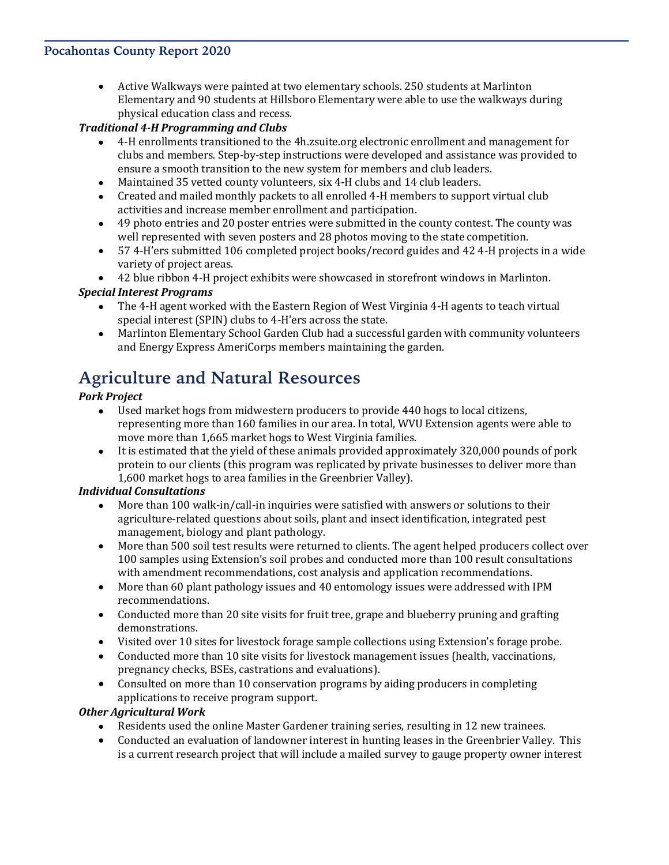### **Pocahontas County Report 2020**

• Active Walkways were painted at two elementary schools. 250 students at Marlinton Elementary and 90 students at Hillsboro Elementary were able to use the walkways during physical education class and recess.

### *Traditional 4-H Programming and Clubs*

- 4-H enrollments transitioned to the 4h.zsuite.org electronic enrollment and management for clubs and members. Step-by-step instructions were developed and assistance was provided to ensure a smooth transition to the new system for members and club leaders.
- Maintained 35 vetted county volunteers, six 4-H clubs and 14 club leaders.
- Created and mailed monthly packets to all enrolled 4-H members to support virtual club activities and increase member enrollment and participation.
- 49 photo entries and 20 poster entries were submitted in the county contest. The county was well represented with seven posters and 28 photos moving to the state competition.
- 57 4-H'ers submitted 106 completed project books/record guides and 42 4-H projects in a wide variety of project areas.
- 42 blue ribbon 4-H project exhibits were showcased in storefront windows in Marlinton.

### *Special Interest Programs*

- The 4-H agent worked with the Eastern Region of West Virginia 4-H agents to teach virtual special interest (SPIN) clubs to 4-H'ers across the state.
- Marlinton Elementary School Garden Club had a successful garden with community volunteers and Energy Express AmeriCorps members maintaining the garden.

### **Agriculture and Natural Resources**

### *Pork Project*

- Used market hogs from midwestern producers to provide 440 hogs to local citizens, representing more than 160 families in our area. In total, WVU Extension agents were able to move more than 1,665 market hogs to West Virginia families.
- It is estimated that the yield of these animals provided approximately 320,000 pounds of pork protein to our clients (this program was replicated by private businesses to deliver more than 1,600 market hogs to area families in the Greenbrier Valley).

#### *Individual Consultations*

- More than 100 walk-in/call-in inquiries were satisfied with answers or solutions to their agriculture-related questions about soils, plant and insect identification, integrated pest management, biology and plant pathology.
- More than 500 soil test results were returned to clients. The agent helped producers collect over 100 samples using Extension's soil probes and conducted more than 100 result consultations with amendment recommendations, cost analysis and application recommendations.
- More than 60 plant pathology issues and 40 entomology issues were addressed with IPM recommendations.
- Conducted more than 20 site visits for fruit tree, grape and blueberry pruning and grafting demonstrations.
- Visited over 10 sites for livestock forage sample collections using Extension's forage probe.
- Conducted more than 10 site visits for livestock management issues (health, vaccinations, pregnancy checks, BSEs, castrations and evaluations).
- Consulted on more than 10 conservation programs by aiding producers in completing applications to receive program support.

#### *Other Agricultural Work*

- Residents used the online Master Gardener training series, resulting in 12 new trainees.
- Conducted an evaluation of landowner interest in hunting leases in the Greenbrier Valley. This is a current research project that will include a mailed survey to gauge property owner interest